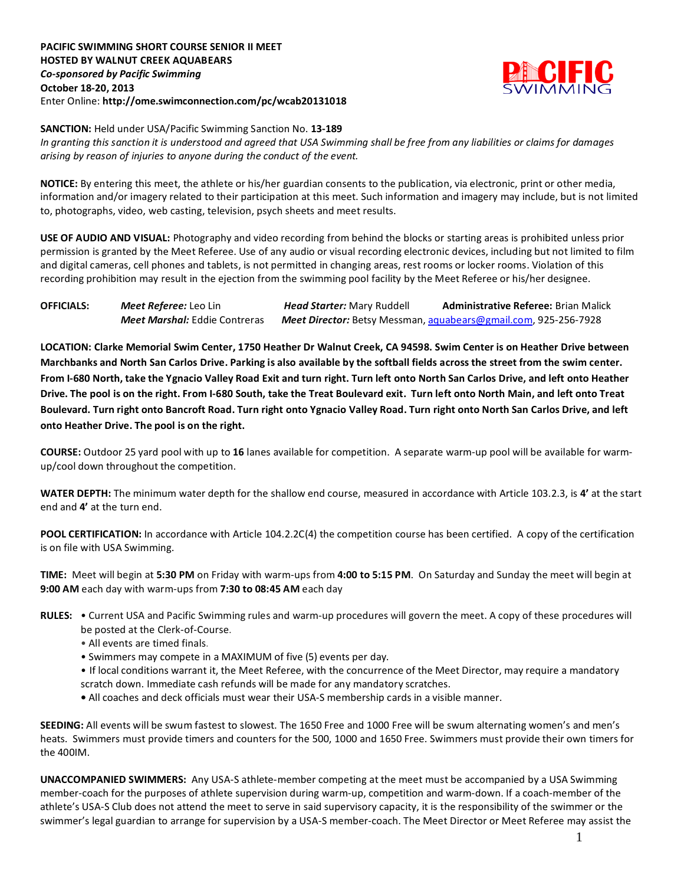## **PACIFIC SWIMMING SHORT COURSE SENIOR II MEET HOSTED BY WALNUT CREEK AQUABEARS** *Co-sponsored by Pacific Swimming* **October 18-20, 2013** Enter Online: **http://ome.swimconnection.com/pc/wcab20131018**



## **SANCTION:** Held under USA/Pacific Swimming Sanction No. **13-189**

*In granting this sanction it is understood and agreed that USA Swimming shall be free from any liabilities or claims for damages arising by reason of injuries to anyone during the conduct of the event.*

**NOTICE:** By entering this meet, the athlete or his/her guardian consents to the publication, via electronic, print or other media, information and/or imagery related to their participation at this meet. Such information and imagery may include, but is not limited to, photographs, video, web casting, television, psych sheets and meet results.

**USE OF AUDIO AND VISUAL:** Photography and video recording from behind the blocks or starting areas is prohibited unless prior permission is granted by the Meet Referee. Use of any audio or visual recording electronic devices, including but not limited to film and digital cameras, cell phones and tablets, is not permitted in changing areas, rest rooms or locker rooms. Violation of this recording prohibition may result in the ejection from the swimming pool facility by the Meet Referee or his/her designee.

| <b>OFFICIALS:</b> | Meet Referee: Leo Lin                | <b>Head Starter: Mary Ruddell</b> | <b>Administrative Referee: Brian Malick</b>                     |  |  |  |  |
|-------------------|--------------------------------------|-----------------------------------|-----------------------------------------------------------------|--|--|--|--|
|                   | <b>Meet Marshal:</b> Eddie Contreras |                                   | Meet Director: Betsy Messman, aquabears@gmail.com, 925-256-7928 |  |  |  |  |

**LOCATION: Clarke Memorial Swim Center, 1750 Heather Dr Walnut Creek, CA 94598. Swim Center is on Heather Drive between Marchbanks and North San Carlos Drive. Parking is also available by the softball fields across the street from the swim center. From I-680 North, take the Ygnacio Valley Road Exit and turn right. Turn left onto North San Carlos Drive, and left onto Heather Drive. The pool is on the right. From I-680 South, take the Treat Boulevard exit. Turn left onto North Main, and left onto Treat Boulevard. Turn right onto Bancroft Road. Turn right onto Ygnacio Valley Road. Turn right onto North San Carlos Drive, and left onto Heather Drive. The pool is on the right.**

**COURSE:** Outdoor 25 yard pool with up to **16** lanes available for competition. A separate warm-up pool will be available for warmup/cool down throughout the competition.

**WATER DEPTH:** The minimum water depth for the shallow end course, measured in accordance with Article 103.2.3, is **4'** at the start end and **4'** at the turn end.

**POOL CERTIFICATION:** In accordance with Article 104.2.2C(4) the competition course has been certified. A copy of the certification is on file with USA Swimming.

**TIME:** Meet will begin at **5:30 PM** on Friday with warm-ups from **4:00 to 5:15 PM**. On Saturday and Sunday the meet will begin at **9:00 AM** each day with warm-ups from **7:30 to 08:45 AM** each day

- **RULES:** Current USA and Pacific Swimming rules and warm-up procedures will govern the meet. A copy of these procedures will be posted at the Clerk-of-Course.
	- All events are timed finals.
	- Swimmers may compete in a MAXIMUM of five (5) events per day.
	- If local conditions warrant it, the Meet Referee, with the concurrence of the Meet Director, may require a mandatory scratch down. Immediate cash refunds will be made for any mandatory scratches.
	- All coaches and deck officials must wear their USA-S membership cards in a visible manner.

**SEEDING:** All events will be swum fastest to slowest. The 1650 Free and 1000 Free will be swum alternating women's and men's heats. Swimmers must provide timers and counters for the 500, 1000 and 1650 Free. Swimmers must provide their own timers for the 400IM.

**UNACCOMPANIED SWIMMERS:** Any USA-S athlete-member competing at the meet must be accompanied by a USA Swimming member-coach for the purposes of athlete supervision during warm-up, competition and warm-down. If a coach-member of the athlete's USA-S Club does not attend the meet to serve in said supervisory capacity, it is the responsibility of the swimmer or the swimmer's legal guardian to arrange for supervision by a USA-S member-coach. The Meet Director or Meet Referee may assist the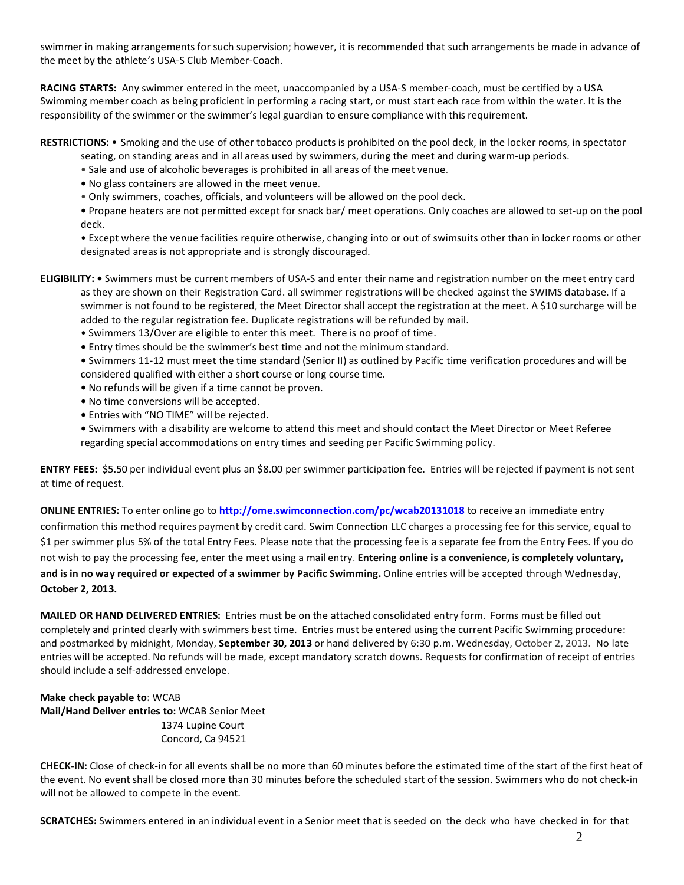swimmer in making arrangements for such supervision; however, it is recommended that such arrangements be made in advance of the meet by the athlete's USA-S Club Member-Coach.

**RACING STARTS:** Any swimmer entered in the meet, unaccompanied by a USA-S member-coach, must be certified by a USA Swimming member coach as being proficient in performing a racing start, or must start each race from within the water. It is the responsibility of the swimmer or the swimmer's legal guardian to ensure compliance with this requirement.

**RESTRICTIONS:** • Smoking and the use of other tobacco products is prohibited on the pool deck, in the locker rooms, in spectator seating, on standing areas and in all areas used by swimmers, during the meet and during warm-up periods.

- Sale and use of alcoholic beverages is prohibited in all areas of the meet venue.
- No glass containers are allowed in the meet venue.
- Only swimmers, coaches, officials, and volunteers will be allowed on the pool deck.

**•** Propane heaters are not permitted except for snack bar/ meet operations. Only coaches are allowed to set-up on the pool deck.

• Except where the venue facilities require otherwise, changing into or out of swimsuits other than in locker rooms or other designated areas is not appropriate and is strongly discouraged.

- **ELIGIBILITY:** Swimmers must be current members of USA-S and enter their name and registration number on the meet entry card as they are shown on their Registration Card. all swimmer registrations will be checked against the SWIMS database. If a swimmer is not found to be registered, the Meet Director shall accept the registration at the meet. A \$10 surcharge will be added to the regular registration fee. Duplicate registrations will be refunded by mail.
	- Swimmers 13/Over are eligible to enter this meet. There is no proof of time.
	- Entry times should be the swimmer's best time and not the minimum standard.

**•** Swimmers 11-12 must meet the time standard (Senior II) as outlined by Pacific time verification procedures and will be considered qualified with either a short course or long course time.

- No refunds will be given if a time cannot be proven.
- No time conversions will be accepted.
- Entries with "NO TIME" will be rejected.
- Swimmers with a disability are welcome to attend this meet and should contact the Meet Director or Meet Referee regarding special accommodations on entry times and seeding per Pacific Swimming policy.

**ENTRY FEES:** \$5.50 per individual event plus an \$8.00 per swimmer participation fee. Entries will be rejected if payment is not sent at time of request.

**ONLINE ENTRIES:** To enter online go to **<http://ome.swimconnection.com/pc/wcab20131018>** to receive an immediate entry confirmation this method requires payment by credit card. Swim Connection LLC charges a processing fee for this service, equal to \$1 per swimmer plus 5% of the total Entry Fees. Please note that the processing fee is a separate fee from the Entry Fees. If you do not wish to pay the processing fee, enter the meet using a mail entry. **Entering online is a convenience, is completely voluntary, and is in no way required or expected of a swimmer by Pacific Swimming.** Online entries will be accepted through Wednesday, **October 2, 2013.**

**MAILED OR HAND DELIVERED ENTRIES:** Entries must be on the attached consolidated entry form. Forms must be filled out completely and printed clearly with swimmers best time. Entries must be entered using the current Pacific Swimming procedure: and postmarked by midnight, Monday, **September 30, 2013** or hand delivered by 6:30 p.m. Wednesday, October 2, 2013. No late entries will be accepted. No refunds will be made, except mandatory scratch downs. Requests for confirmation of receipt of entries should include a self-addressed envelope.

**Make check payable to:** WCAB **Mail/Hand Deliver entries to:** WCAB Senior Meet 1374 Lupine Court Concord, Ca 94521

**CHECK-IN:** Close of check-in for all events shall be no more than 60 minutes before the estimated time of the start of the first heat of the event. No event shall be closed more than 30 minutes before the scheduled start of the session. Swimmers who do not check-in will not be allowed to compete in the event.

**SCRATCHES:** Swimmers entered in an individual event in a Senior meet that is seeded on the deck who have checked in for that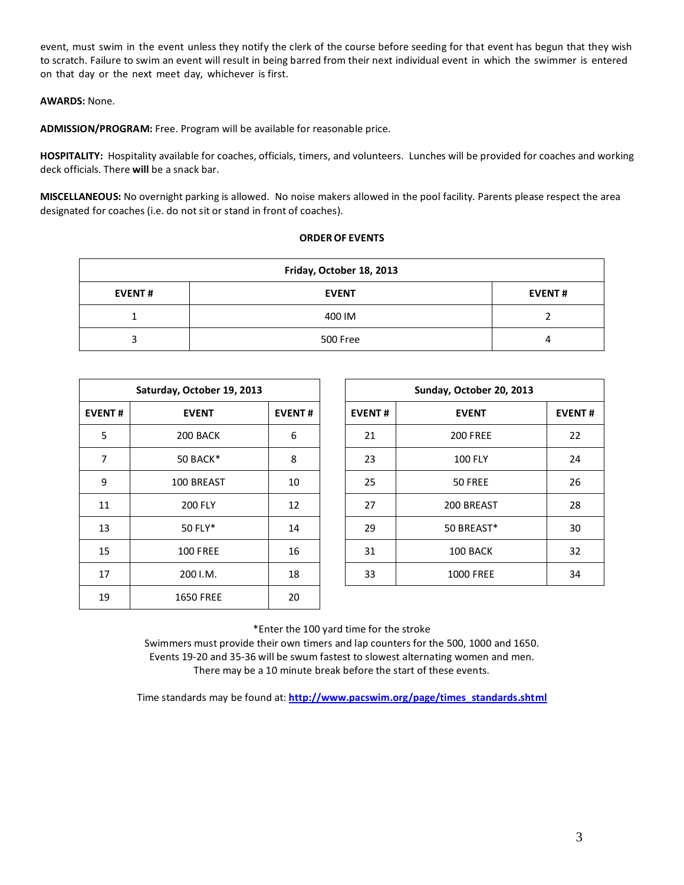event, must swim in the event unless they notify the clerk of the course before seeding for that event has begun that they wish to scratch. Failure to swim an event will result in being barred from their next individual event in which the swimmer is entered on that day or the next meet day, whichever is first.

## **AWARDS:** None.

**ADMISSION/PROGRAM:** Free. Program will be available for reasonable price.

**HOSPITALITY:** Hospitality available for coaches, officials, timers, and volunteers. Lunches will be provided for coaches and working deck officials. There **will** be a snack bar.

**MISCELLANEOUS:** No overnight parking is allowed. No noise makers allowed in the pool facility. Parents please respect the area designated for coaches (i.e. do not sit or stand in front of coaches).

## **ORDEROF EVENTS**

| Friday, October 18, 2013 |              |               |  |  |  |  |  |  |
|--------------------------|--------------|---------------|--|--|--|--|--|--|
| <b>EVENT#</b>            | <b>EVENT</b> | <b>EVENT#</b> |  |  |  |  |  |  |
|                          | 400 IM       |               |  |  |  |  |  |  |
|                          | 500 Free     | 4             |  |  |  |  |  |  |

| Saturday, October 19, 2013 |                  |    |  |  |  |  |  |  |  |
|----------------------------|------------------|----|--|--|--|--|--|--|--|
| <b>EVENT#</b>              | <b>EVENT</b>     |    |  |  |  |  |  |  |  |
| 5                          | 200 BACK         | 6  |  |  |  |  |  |  |  |
| 7                          | 50 BACK*         | 8  |  |  |  |  |  |  |  |
| 9                          | 100 BREAST       | 10 |  |  |  |  |  |  |  |
| 11                         | <b>200 FLY</b>   | 12 |  |  |  |  |  |  |  |
| 13                         | 50 FLY*          | 14 |  |  |  |  |  |  |  |
| 15                         | <b>100 FREE</b>  | 16 |  |  |  |  |  |  |  |
| 17                         | 200 I.M.         | 18 |  |  |  |  |  |  |  |
| 19                         | <b>1650 FREE</b> | 20 |  |  |  |  |  |  |  |

| Saturday, October 19, 2013 |                 |               |  |               | Sunday, October 20, 2013 |               |  |  |
|----------------------------|-----------------|---------------|--|---------------|--------------------------|---------------|--|--|
| <b>EVENT#</b>              | <b>EVENT</b>    | <b>EVENT#</b> |  | <b>EVENT#</b> | <b>EVENT</b>             | <b>EVENT#</b> |  |  |
| 5                          | 200 BACK        | 6             |  | 21            | <b>200 FREE</b>          | 22            |  |  |
| 7                          | 50 BACK*        | 8             |  | 23            | <b>100 FLY</b>           | 24            |  |  |
| 9                          | 100 BREAST      | 10            |  | 25            | 50 FREE                  | 26            |  |  |
| 11                         | <b>200 FLY</b>  | 12            |  | 27            | 200 BREAST               | 28            |  |  |
| 13                         | 50 FLY*         | 14            |  | 29            | 50 BREAST*               | 30            |  |  |
| 15                         | <b>100 FREE</b> | 16            |  | 31            | 100 BACK                 | 32            |  |  |
| 17                         | 200 I.M.        | 18            |  | 33            | <b>1000 FREE</b>         | 34            |  |  |

\*Enter the 100 yard time for the stroke

Swimmers must provide their own timers and lap counters for the 500, 1000 and 1650. Events 19-20 and 35-36 will be swum fastest to slowest alternating women and men. There may be a 10 minute break before the start of these events.

Time standards may be found at: **[http://www.pacswim.org/page/times\\_standards.shtml](http://www.pacswim.org/page/times_standards.shtml)**